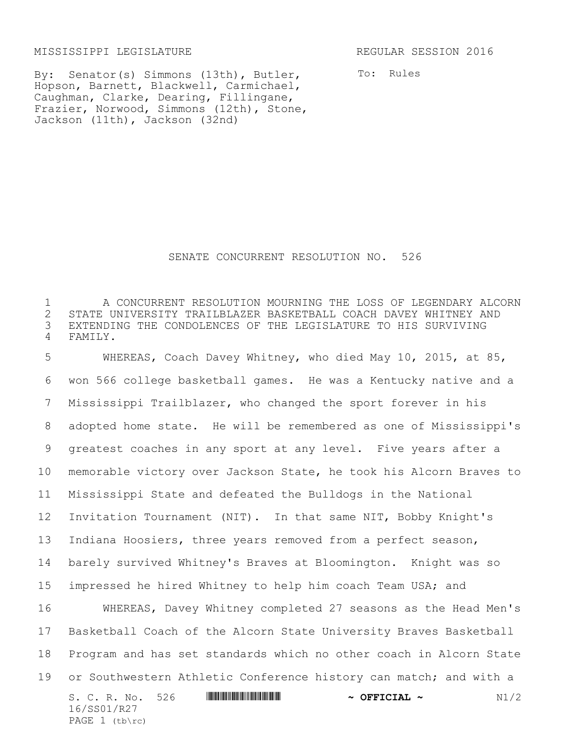MISSISSIPPI LEGISLATURE REGULAR SESSION 2016

16/SS01/R27 PAGE  $1$  (tb\rc)

By: Senator(s) Simmons (13th), Butler, Hopson, Barnett, Blackwell, Carmichael, Caughman, Clarke, Dearing, Fillingane, Frazier, Norwood, Simmons (12th), Stone, Jackson (11th), Jackson (32nd)

To: Rules

## SENATE CONCURRENT RESOLUTION NO. 526

1 A CONCURRENT RESOLUTION MOURNING THE LOSS OF LEGENDARY ALCORN 2 STATE UNIVERSITY TRAILBLAZER BASKETBALL COACH DAVEY WHITNEY AND<br>3 EXTENDING THE CONDOLENCES OF THE LEGISLATURE TO HIS SURVIVING EXTENDING THE CONDOLENCES OF THE LEGISLATURE TO HIS SURVIVING 4 FAMILY.

S. C. R. No. 526 \*SS01/R27\* **~ OFFICIAL ~** N1/2 WHEREAS, Coach Davey Whitney, who died May 10, 2015, at 85, won 566 college basketball games. He was a Kentucky native and a Mississippi Trailblazer, who changed the sport forever in his adopted home state. He will be remembered as one of Mississippi's greatest coaches in any sport at any level. Five years after a memorable victory over Jackson State, he took his Alcorn Braves to Mississippi State and defeated the Bulldogs in the National Invitation Tournament (NIT). In that same NIT, Bobby Knight's Indiana Hoosiers, three years removed from a perfect season, barely survived Whitney's Braves at Bloomington. Knight was so impressed he hired Whitney to help him coach Team USA; and WHEREAS, Davey Whitney completed 27 seasons as the Head Men's Basketball Coach of the Alcorn State University Braves Basketball Program and has set standards which no other coach in Alcorn State 19 or Southwestern Athletic Conference history can match; and with a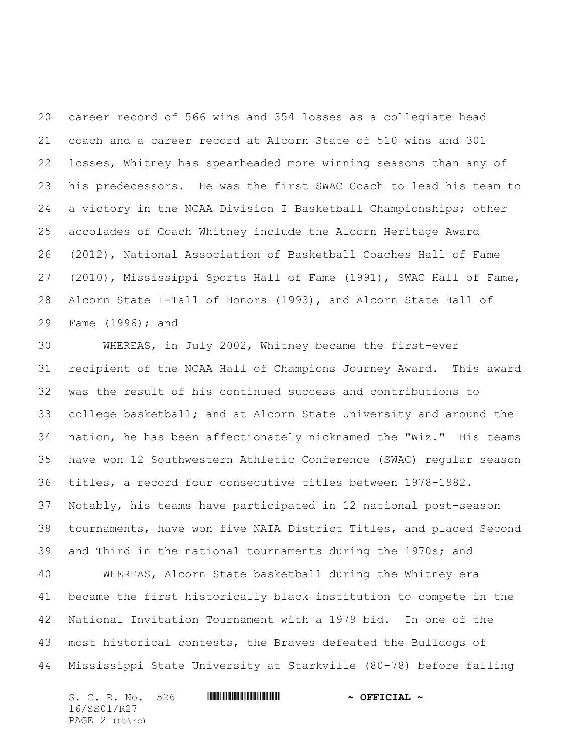career record of 566 wins and 354 losses as a collegiate head coach and a career record at Alcorn State of 510 wins and 301 losses, Whitney has spearheaded more winning seasons than any of his predecessors. He was the first SWAC Coach to lead his team to a victory in the NCAA Division I Basketball Championships; other accolades of Coach Whitney include the Alcorn Heritage Award (2012), National Association of Basketball Coaches Hall of Fame (2010), Mississippi Sports Hall of Fame (1991), SWAC Hall of Fame, Alcorn State I-Tall of Honors (1993), and Alcorn State Hall of Fame (1996); and

 WHEREAS, in July 2002, Whitney became the first-ever recipient of the NCAA Hall of Champions Journey Award. This award was the result of his continued success and contributions to college basketball; and at Alcorn State University and around the nation, he has been affectionately nicknamed the "Wiz." His teams have won 12 Southwestern Athletic Conference (SWAC) regular season titles, a record four consecutive titles between 1978-1982. Notably, his teams have participated in 12 national post-season tournaments, have won five NAIA District Titles, and placed Second and Third in the national tournaments during the 1970s; and WHEREAS, Alcorn State basketball during the Whitney era became the first historically black institution to compete in the National Invitation Tournament with a 1979 bid. In one of the most historical contests, the Braves defeated the Bulldogs of Mississippi State University at Starkville (80-78) before falling

S. C. R. No. 526 **\*\*\* WILLE AND THE TELL TELL TELL TO A OFFICIAL ~** 16/SS01/R27 PAGE 2 (tb\rc)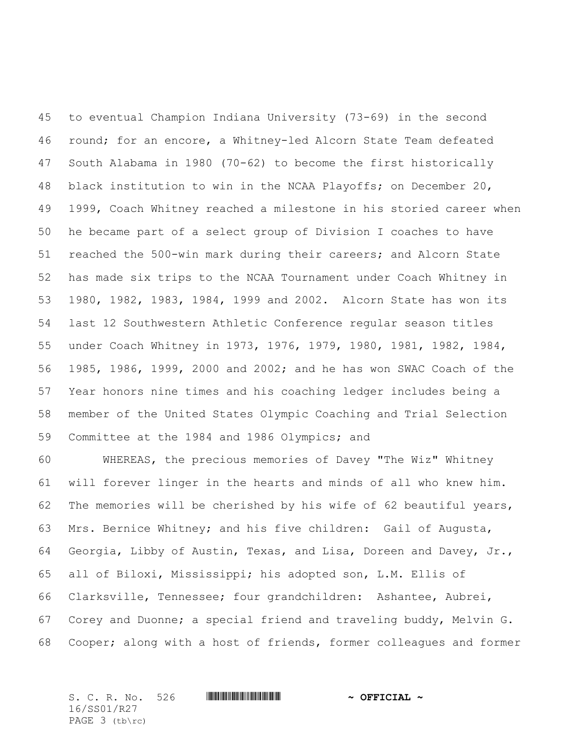to eventual Champion Indiana University (73-69) in the second round; for an encore, a Whitney-led Alcorn State Team defeated South Alabama in 1980 (70-62) to become the first historically black institution to win in the NCAA Playoffs; on December 20, 1999, Coach Whitney reached a milestone in his storied career when he became part of a select group of Division I coaches to have reached the 500-win mark during their careers; and Alcorn State has made six trips to the NCAA Tournament under Coach Whitney in 1980, 1982, 1983, 1984, 1999 and 2002. Alcorn State has won its last 12 Southwestern Athletic Conference regular season titles under Coach Whitney in 1973, 1976, 1979, 1980, 1981, 1982, 1984, 1985, 1986, 1999, 2000 and 2002; and he has won SWAC Coach of the Year honors nine times and his coaching ledger includes being a member of the United States Olympic Coaching and Trial Selection Committee at the 1984 and 1986 Olympics; and

 WHEREAS, the precious memories of Davey "The Wiz" Whitney will forever linger in the hearts and minds of all who knew him. The memories will be cherished by his wife of 62 beautiful years, Mrs. Bernice Whitney; and his five children: Gail of Augusta, Georgia, Libby of Austin, Texas, and Lisa, Doreen and Davey, Jr., all of Biloxi, Mississippi; his adopted son, L.M. Ellis of Clarksville, Tennessee; four grandchildren: Ashantee, Aubrei, Corey and Duonne; a special friend and traveling buddy, Melvin G. Cooper; along with a host of friends, former colleagues and former

| S. C. R. No. 526 | $\sim$ OFFICIAL $\sim$ |
|------------------|------------------------|
| 16/SS01/R27      |                        |
| PAGE $3$ (tb\rc) |                        |